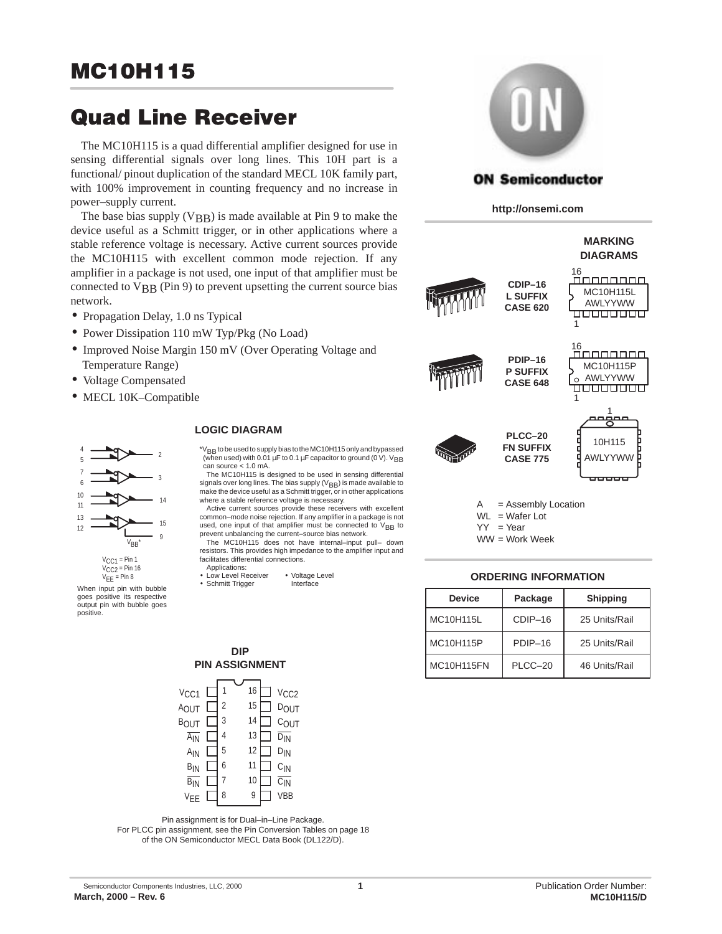# **MC10H115**

# **Quad Line Receiver**

The MC10H115 is a quad differential amplifier designed for use in sensing differential signals over long lines. This 10H part is a functional/ pinout duplication of the standard MECL 10K family part, with 100% improvement in counting frequency and no increase in power–supply current.

The base bias supply  $(VBB)$  is made available at Pin 9 to make the device useful as a Schmitt trigger, or in other applications where a stable reference voltage is necessary. Active current sources provide the MC10H115 with excellent common mode rejection. If any amplifier in a package is not used, one input of that amplifier must be connected to  $V_{BB}$  (Pin 9) to prevent upsetting the current source bias network.

- Propagation Delay, 1.0 ns Typical
- Power Dissipation 110 mW Typ/Pkg (No Load)
- Improved Noise Margin 150 mV (Over Operating Voltage and Temperature Range)
- Voltage Compensated
- MECL 10K-Compatible



When input pin with bubble goes positive its respective output pin with bubble goes positive.

#### **LOGIC DIAGRAM**

\*VBB to be used to supply bias to the MC10H115 only and bypassed (when used) with 0.01  $\mu$ F to 0.1  $\mu$ F capacitor to ground (0 V). V<sub>BB</sub> can source < 1.0 mA.

The MC10H115 is designed to be used in sensing differential signals over long lines. The bias supply ( $V_{\pmb{B}\pmb{B}}$ ) is made available to make the device useful as a Schmitt trigger, or in other applications where a stable reference voltage is necessary.

Active current sources provide these receivers with excellent common–mode noise rejection. If any amplifier in a package is not used, one input of that amplifier must be connected to V<sub>BB</sub> to

prevent unbalancing the current–source bias network. The MC10H115 does not have internal–input pull– down resistors. This provides high impedance to the amplifier input and facilitates differential connections.

- Applications:
- Low Level Receiver Voltage Level<br>• Schmitt Trigger betterface • Schmitt Trigger



## **ON Semiconductor**

**http://onsemi.com**



 $WL = Water$  Lot

 $YY = Year$ 

#### WW = Work Week

#### **ORDERING INFORMATION**

| <b>Device</b> | Package | <b>Shipping</b> |
|---------------|---------|-----------------|
| MC10H115L     | CDIP-16 | 25 Units/Rail   |
| MC10H115P     | PDIP-16 | 25 Units/Rail   |
| MC10H115FN    | PLCC-20 | 46 Units/Rail   |



**DIP**

Pin assignment is for Dual–in–Line Package.

For PLCC pin assignment, see the Pin Conversion Tables on page 18 of the ON Semiconductor MECL Data Book (DL122/D).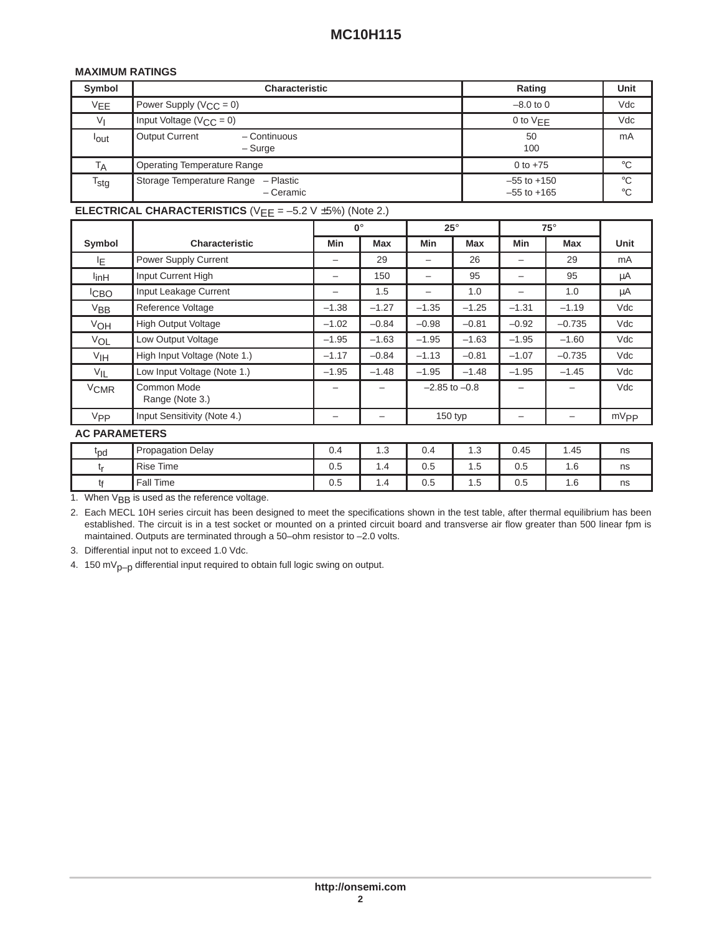## **MAXIMUM RATINGS**

| Symbol                      | <b>Characteristic</b>                               | Rating                             | Unit              |
|-----------------------------|-----------------------------------------------------|------------------------------------|-------------------|
| <b>VEE</b>                  | Power Supply ( $V_{\text{CC}} = 0$ )                | $-8.0$ to 0                        | Vdc               |
| Vı                          | Input Voltage ( $V_{C}$ = 0)                        | 0 to $VFF$                         | Vdc               |
| <sup>l</sup> out            | <b>Output Current</b><br>- Continuous<br>$-$ Surge  | 50<br>100                          | mA                |
| TA                          | <b>Operating Temperature Range</b>                  | 0 to $+75$                         | $^{\circ}C$       |
| $\mathsf{T}_{\mathsf{stg}}$ | Storage Temperature Range<br>- Plastic<br>- Ceramic | $-55$ to $+150$<br>$-55$ to $+165$ | °C<br>$^{\circ}C$ |

## **ELECTRICAL CHARACTERISTICS** (V<sub>EE</sub> = –5.2 V ±5%) (Note 2.)

|                        |                                | $0^\circ$ |         | $25^\circ$        |            | $75^\circ$      |          |                  |
|------------------------|--------------------------------|-----------|---------|-------------------|------------|-----------------|----------|------------------|
| Symbol                 | <b>Characteristic</b>          | Min       | Max     | Min               | <b>Max</b> | Min             | Max      | Unit             |
| IF.                    | <b>Power Supply Current</b>    | -         | 29      |                   | 26         |                 | 29       | mA               |
| l <sub>in</sub> H      | Input Current High             | -         | 150     |                   | 95         |                 | 95       | μA               |
| <sup>I</sup> CBO       | Input Leakage Current          | -         | 1.5     |                   | 1.0        |                 | 1.0      | μA               |
| $V_{BB}$               | Reference Voltage              | $-1.38$   | $-1.27$ | $-1.35$           | $-1.25$    | $-1.31$         | $-1.19$  | Vdc              |
| V <sub>OH</sub>        | <b>High Output Voltage</b>     | $-1.02$   | $-0.84$ | $-0.98$           | $-0.81$    | $-0.92$         | $-0.735$ | Vdc              |
| VOL                    | Low Output Voltage             | $-1.95$   | $-1.63$ | $-1.95$           | $-1.63$    | $-1.95$         | $-1.60$  | Vdc              |
| V <sub>IH</sub>        | High Input Voltage (Note 1.)   | $-1.17$   | $-0.84$ | $-1.13$           | $-0.81$    | $-1.07$         | $-0.735$ | Vdc              |
| $V_{IL}$               | Low Input Voltage (Note 1.)    | $-1.95$   | $-1.48$ | $-1.95$           | $-1.48$    | $-1.95$         | $-1.45$  | Vdc              |
| <b>V<sub>CMR</sub></b> | Common Mode<br>Range (Note 3.) |           |         | $-2.85$ to $-0.8$ |            |                 |          | Vdc              |
| <b>V<sub>PP</sub></b>  | Input Sensitivity (Note 4.)    | -         | -       | 150 typ           |            | $\qquad \qquad$ | -        | mV <sub>PP</sub> |
| <b>AC PARAMETERS</b>   |                                |           |         |                   |            |                 |          |                  |
| <sup>t</sup> pd        | <b>Propagation Delay</b>       | 0.4       | 1.3     | 0.4               | 1.3        | 0.45            | 1.45     | ns               |
| tr                     | <b>Rise Time</b>               | 0.5       | 1.4     | 0.5               | 1.5        | 0.5             | 1.6      | ns               |

1. When V<sub>BB</sub> is used as the reference voltage.

2. Each MECL 10H series circuit has been designed to meet the specifications shown in the test table, after thermal equilibrium has been established. The circuit is in a test socket or mounted on a printed circuit board and transverse air flow greater than 500 linear fpm is maintained. Outputs are terminated through a 50–ohm resistor to –2.0 volts.

t<sub>f</sub> | Fall Time | 0.5 | 1.4 | 0.5 | 1.5 | 0.5 | 1.6 | ns

3. Differential input not to exceed 1.0 Vdc.

4. 150 m $V_{p-p}$  differential input required to obtain full logic swing on output.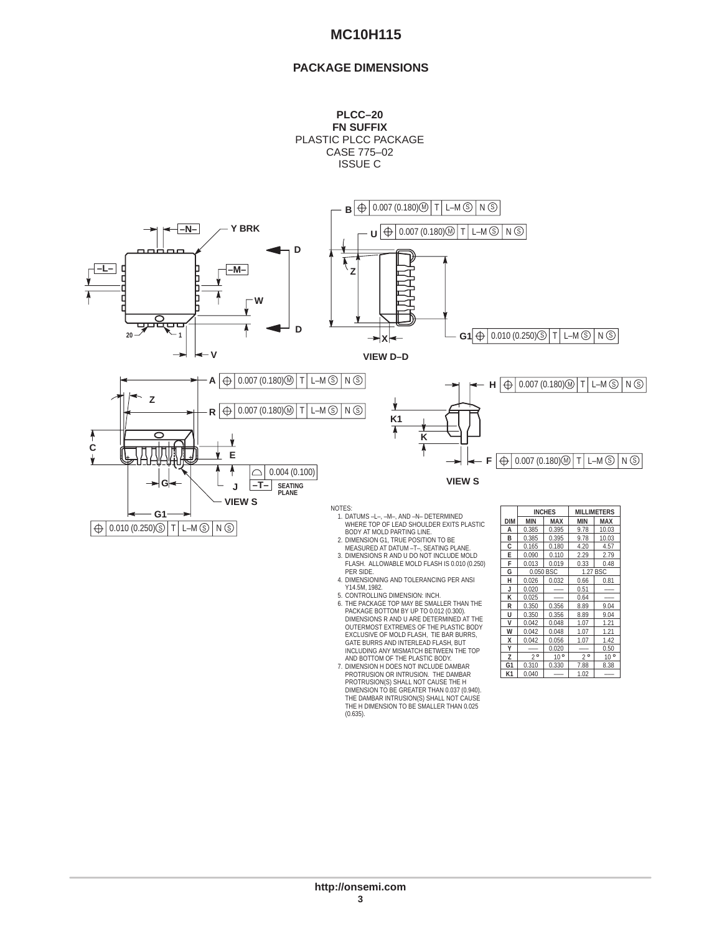## **MC10H115**

### **PACKAGE DIMENSIONS**





- 5. CONTROLLING DIMENSION: INCH.<br>6. THE PACKAGE TOP MAY BE SMALLER THAN THE<br>PACKAGE TOP MAY BE SMALLER THAN THE<br>PACKAGE BOTTOM BY UP TO 0.012 (0.300).<br>DIMENSIONS R AND U ARE DETERMINED AT THE<br>EXCLUSIVE OF MOLD FLASH, THE PA
- DIMENSION TO BE GREATER THAN 0.037 (0.940). THE DAMBAR INTRUSION(S) SHALL NOT CAUSE THE H DIMENSION TO BE SMALLER THAN 0.025 (0.635).

| <b>DIM</b> | <b>MIN</b>  | MAX          | MIN         | <b>MAX</b>   |  |  |
|------------|-------------|--------------|-------------|--------------|--|--|
| А          | 0.385       | 0.395        | 9.78        | 10.03        |  |  |
| B          | 0.385       | 0.395        | 9.78        | 10.03        |  |  |
| C          | 0.165       | 0.180        | 4.20        | 4.57         |  |  |
| E          | 0.090       | 0.110        | 2.29        | 2.79         |  |  |
| F          | 0.013       | 0.019        | 0.33        | 0.48         |  |  |
| G          | 0.050 BSC   |              | 1.27 BSC    |              |  |  |
| н          | 0.026       | 0.032        | 0.66        | 0.81         |  |  |
| J          | 0.020       |              | 0.51        |              |  |  |
| к          | 0.025       |              | 0.64        |              |  |  |
| R          | 0.350       | 0.356        | 8.89        | 9.04         |  |  |
| U          | 0.350       | 0.356        | 8.89        | 9.04         |  |  |
| V          | 0.042       | 0.048        | 1.07        | 1.21         |  |  |
| w          | 0.042       | 0.048        | 1.07        | 1.21         |  |  |
| X          | 0.042       | 0.056        | 1.07        | 1.42         |  |  |
| Υ          |             | 0.020        |             | 0.50         |  |  |
| Z          | $2^{\circ}$ | $10^{\circ}$ | $2^{\circ}$ | $10^{\circ}$ |  |  |
| G1         | 0.310       | 0.330        | 7.88        | 8.38         |  |  |
| К1         | 0.040       |              | 1.02        |              |  |  |